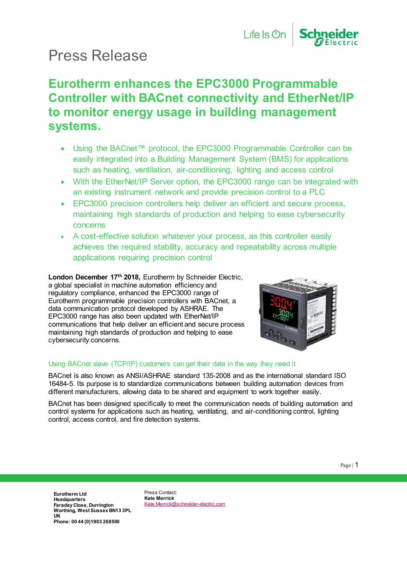# Press Release

### **Eurotherm enhances the EPC3000 Programmable Controller with BACnet connectivity and EtherNet/IP to monitor energy usage in building management systems.**

- Using the BACnet™ protocol, the EPC3000 Programmable Controller can be easily integrated into a Building Management System (BMS) for applications such as heating, ventilation, air-conditioning, lighting and access control
- With the EtherNet/IP Server option, the EPC3000 range can be integrated with an existing instrument network and provide precision control to a PLC
- EPC3000 precision controllers help deliver an efficient and secure process, maintaining high standards of production and helping to ease cybersecurity concerns
- A cost-effective solution whatever your process, as this controller easily achieves the required stability, accuracy and repeatability across multiple applications requiring precision control

**London December 17th 2018,** Eurotherm by Schneider Electric, a global specialist in machine automation efficiency and regulatory compliance, enhanced the EPC3000 range of Eurotherm programmable precision controllers with BACnet, a data communication protocol developed by ASHRAE. The EPC3000 range has also been updated with EtherNet/IP communications that help deliver an efficient and secure process maintaining high standards of production and helping to ease cybersecurity concerns.



### Using BACnet slave (TCP/IP) customers can get their data in the way they need it

BACnet is also known as ANSI/ASHRAE standard 135-2008 and as the international standard ISO 16484-5. Its purpose is to standardize communications between building automation devices from different manufacturers, allowing data to be shared and equipment to work together easily.

BACnet has been designed specifically to meet the communication needs of building automation and control systems for applications such as heating, ventilating, and air-conditioning control, lighting control, access control, and fire detection systems.

**Eurotherm Ltd Headquarters Faraday Close, Durrington Worthing, West Sussex BN13 3PL UK Phone: 00 44 (0)1903 268500**

Press Contact: **Kate Merrick** [Kate.Merrick@schneider-electric.com](mailto:Kate.Merrick@schneider-electric.com)